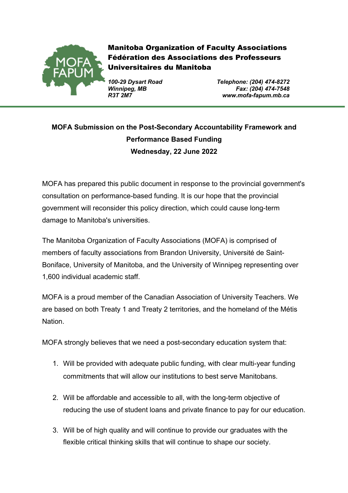

Manitoba Organization of Faculty Associations Fédération des Associations des Professeurs Universitaires du Manitoba

*100-29 Dysart Road Telephone: (204) 474-8272 Winnipeg, MB Fax: (204) 474-7548 R3T 2M7 www.mofa-fapum.mb.ca*

# **MOFA Submission on the Post-Secondary Accountability Framework and Performance Based Funding Wednesday, 22 June 2022**

MOFA has prepared this public document in response to the provincial government's consultation on performance-based funding. It is our hope that the provincial government will reconsider this policy direction, which could cause long-term damage to Manitoba's universities.

The Manitoba Organization of Faculty Associations (MOFA) is comprised of members of faculty associations from Brandon University, Université de Saint-Boniface, University of Manitoba, and the University of Winnipeg representing over 1,600 individual academic staff.

MOFA is a proud member of the Canadian Association of University Teachers. We are based on both Treaty 1 and Treaty 2 territories, and the homeland of the Métis Nation.

MOFA strongly believes that we need a post-secondary education system that:

- 1. Will be provided with adequate public funding, with clear multi-year funding commitments that will allow our institutions to best serve Manitobans.
- 2. Will be affordable and accessible to all, with the long-term objective of reducing the use of student loans and private finance to pay for our education.
- 3. Will be of high quality and will continue to provide our graduates with the flexible critical thinking skills that will continue to shape our society.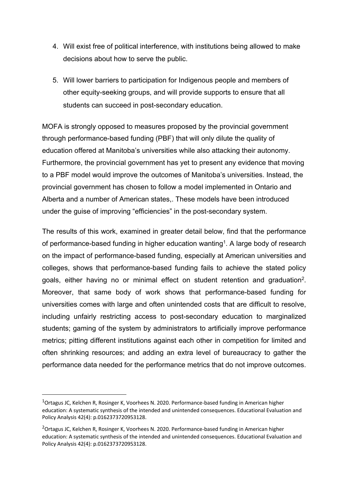- 4. Will exist free of political interference, with institutions being allowed to make decisions about how to serve the public.
- 5. Will lower barriers to participation for Indigenous people and members of other equity-seeking groups, and will provide supports to ensure that all students can succeed in post-secondary education.

MOFA is strongly opposed to measures proposed by the provincial government through performance-based funding (PBF) that will only dilute the quality of education offered at Manitoba's universities while also attacking their autonomy. Furthermore, the provincial government has yet to present any evidence that moving to a PBF model would improve the outcomes of Manitoba's universities. Instead, the provincial government has chosen to follow a model implemented in Ontario and Alberta and a number of American states,. These models have been introduced under the guise of improving "efficiencies" in the post-secondary system.

The results of this work, examined in greater detail below, find that the performance of performance-based funding in higher education wanting<sup>1</sup>. A large body of research on the impact of performance-based funding, especially at American universities and colleges, shows that performance-based funding fails to achieve the stated policy goals, either having no or minimal effect on student retention and graduation2. Moreover, that same body of work shows that performance-based funding for universities comes with large and often unintended costs that are difficult to resolve, including unfairly restricting access to post-secondary education to marginalized students; gaming of the system by administrators to artificially improve performance metrics; pitting different institutions against each other in competition for limited and often shrinking resources; and adding an extra level of bureaucracy to gather the performance data needed for the performance metrics that do not improve outcomes.

<sup>&</sup>lt;sup>1</sup>Ortagus JC, Kelchen R, Rosinger K, Voorhees N. 2020. Performance-based funding in American higher education: A systematic synthesis of the intended and unintended consequences. Educational Evaluation and Policy Analysis 42(4): p.0162373720953128.

<sup>&</sup>lt;sup>2</sup>Ortagus JC, Kelchen R, Rosinger K, Voorhees N. 2020. Performance-based funding in American higher education: A systematic synthesis of the intended and unintended consequences. Educational Evaluation and Policy Analysis 42(4): p.0162373720953128.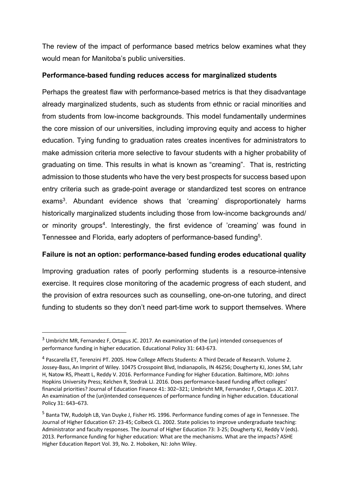The review of the impact of performance based metrics below examines what they would mean for Manitoba's public universities.

### **Performance-based funding reduces access for marginalized students**

Perhaps the greatest flaw with performance-based metrics is that they disadvantage already marginalized students, such as students from ethnic or racial minorities and from students from low-income backgrounds. This model fundamentally undermines the core mission of our universities, including improving equity and access to higher education. Tying funding to graduation rates creates incentives for administrators to make admission criteria more selective to favour students with a higher probability of graduating on time. This results in what is known as "creaming". That is, restricting admission to those students who have the very best prospects for success based upon entry criteria such as grade-point average or standardized test scores on entrance exams<sup>3</sup>. Abundant evidence shows that 'creaming' disproportionately harms historically marginalized students including those from low-income backgrounds and/ or minority groups<sup>4</sup>. Interestingly, the first evidence of 'creaming' was found in Tennessee and Florida, early adopters of performance-based funding<sup>5</sup>.

# **Failure is not an option: performance-based funding erodes educational quality**

Improving graduation rates of poorly performing students is a resource-intensive exercise. It requires close monitoring of the academic progress of each student, and the provision of extra resources such as counselling, one-on-one tutoring, and direct funding to students so they don't need part-time work to support themselves. Where

<sup>3</sup> Umbricht MR, Fernandez F, Ortagus JC. 2017. An examination of the (un) intended consequences of performance funding in higher education. Educational Policy 31: 643-673.

<sup>4</sup> Pascarella ET, Terenzini PT. 2005. How College Affects Students: A Third Decade of Research. Volume 2. Jossey-Bass, An Imprint of Wiley. 10475 Crosspoint Blvd, Indianapolis, IN 46256; Dougherty KJ, Jones SM, Lahr H, Natow RS, Pheatt L, Reddy V. 2016. Performance Funding for Higher Education. Baltimore, MD: Johns Hopkins University Press; Kelchen R, Stedrak LJ. 2016. Does performance-based funding affect colleges' financial priorities? Journal of Education Finance 41: 302–321; Umbricht MR, Fernandez F, Ortagus JC. 2017. An examination of the (un)intended consequences of performance funding in higher education. Educational Policy 31: 643–673.

<sup>5</sup> Banta TW, Rudolph LB, Van Duyke J, Fisher HS. 1996. Performance funding comes of age in Tennessee. The Journal of Higher Education 67: 23-45; Colbeck CL. 2002. State policies to improve undergraduate teaching: Administrator and faculty responses. The Journal of Higher Education 73: 3-25; Dougherty KJ, Reddy V (eds). 2013. Performance funding for higher education: What are the mechanisms. What are the impacts? ASHE Higher Education Report Vol. 39, No. 2. Hoboken, NJ: John Wiley.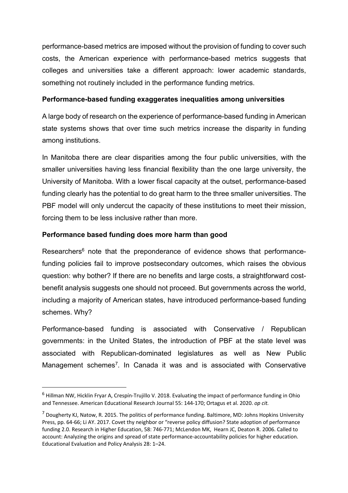performance-based metrics are imposed without the provision of funding to cover such costs, the American experience with performance-based metrics suggests that colleges and universities take a different approach: lower academic standards, something not routinely included in the performance funding metrics.

## **Performance-based funding exaggerates inequalities among universities**

A large body of research on the experience of performance-based funding in American state systems shows that over time such metrics increase the disparity in funding among institutions.

In Manitoba there are clear disparities among the four public universities, with the smaller universities having less financial flexibility than the one large university, the University of Manitoba. With a lower fiscal capacity at the outset, performance-based funding clearly has the potential to do great harm to the three smaller universities. The PBF model will only undercut the capacity of these institutions to meet their mission, forcing them to be less inclusive rather than more.

### **Performance based funding does more harm than good**

Researchers<sup>6</sup> note that the preponderance of evidence shows that performancefunding policies fail to improve postsecondary outcomes, which raises the obvious question: why bother? If there are no benefits and large costs, a straightforward costbenefit analysis suggests one should not proceed. But governments across the world, including a majority of American states, have introduced performance-based funding schemes. Why?

Performance-based funding is associated with Conservative / Republican governments: in the United States, the introduction of PBF at the state level was associated with Republican-dominated legislatures as well as New Public Management schemes<sup>7</sup>. In Canada it was and is associated with Conservative

<sup>6</sup> Hillman NW, Hicklin Fryar A, Crespín-Trujillo V. 2018. Evaluating the impact of performance funding in Ohio and Tennessee. American Educational Research Journal 55: 144-170; Ortagus et al. 2020. *op cit.*

 $<sup>7</sup>$  Dougherty KJ, Natow, R. 2015. The politics of performance funding. Baltimore, MD: Johns Hopkins University</sup> Press, pp. 64-66; Li AY. 2017. Covet thy neighbor or "reverse policy diffusion? State adoption of performance funding 2.0. Research in Higher Education, 58: 746-771; McLendon MK, Hearn JC, Deaton R. 2006. Called to account: Analyzing the origins and spread of state performance-accountability policies for higher education. Educational Evaluation and Policy Analysis 28: 1–24.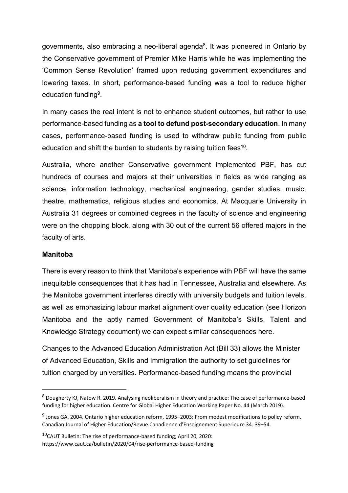governments, also embracing a neo-liberal agenda<sup>8</sup>. It was pioneered in Ontario by the Conservative government of Premier Mike Harris while he was implementing the 'Common Sense Revolution' framed upon reducing government expenditures and lowering taxes. In short, performance-based funding was a tool to reduce higher education funding9.

In many cases the real intent is not to enhance student outcomes, but rather to use performance-based funding as **a tool to defund post-secondary education**. In many cases, performance-based funding is used to withdraw public funding from public education and shift the burden to students by raising tuition fees<sup>10</sup>.

Australia, where another Conservative government implemented PBF, has cut hundreds of courses and majors at their universities in fields as wide ranging as science, information technology, mechanical engineering, gender studies, music, theatre, mathematics, religious studies and economics. At Macquarie University in Australia 31 degrees or combined degrees in the faculty of science and engineering were on the chopping block, along with 30 out of the current 56 offered majors in the faculty of arts.

#### **Manitoba**

There is every reason to think that Manitoba's experience with PBF will have the same inequitable consequences that it has had in Tennessee, Australia and elsewhere. As the Manitoba government interferes directly with university budgets and tuition levels, as well as emphasizing labour market alignment over quality education (see Horizon Manitoba and the aptly named Government of Manitoba's Skills, Talent and Knowledge Strategy document) we can expect similar consequences here.

Changes to the Advanced Education Administration Act (Bill 33) allows the Minister of Advanced Education, Skills and Immigration the authority to set guidelines for tuition charged by universities. Performance-based funding means the provincial

<sup>8</sup> Dougherty KJ, Natow R. 2019. Analysing neoliberalism in theory and practice: The case of performance-based funding for higher education. Centre for Global Higher Education Working Paper No. 44 (March 2019).

<sup>&</sup>lt;sup>9</sup> Jones GA. 2004. Ontario higher education reform, 1995–2003: From modest modifications to policy reform. Canadian Journal of Higher Education/Revue Canadienne d'Enseignement Superieure 34: 39–54.

<sup>10</sup>CAUT Bulletin: The rise of performance-based funding; April 20, 2020: https://www.caut.ca/bulletin/2020/04/rise-performance-based-funding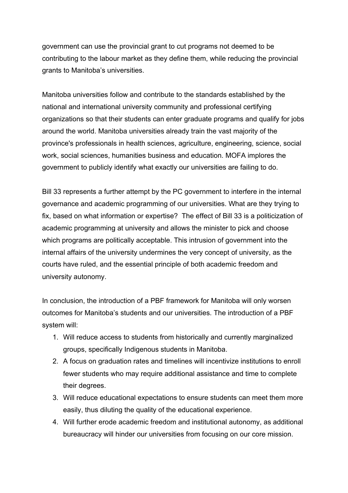government can use the provincial grant to cut programs not deemed to be contributing to the labour market as they define them, while reducing the provincial grants to Manitoba's universities.

Manitoba universities follow and contribute to the standards established by the national and international university community and professional certifying organizations so that their students can enter graduate programs and qualify for jobs around the world. Manitoba universities already train the vast majority of the province's professionals in health sciences, agriculture, engineering, science, social work, social sciences, humanities business and education. MOFA implores the government to publicly identify what exactly our universities are failing to do.

Bill 33 represents a further attempt by the PC government to interfere in the internal governance and academic programming of our universities. What are they trying to fix, based on what information or expertise? The effect of Bill 33 is a politicization of academic programming at university and allows the minister to pick and choose which programs are politically acceptable. This intrusion of government into the internal affairs of the university undermines the very concept of university, as the courts have ruled, and the essential principle of both academic freedom and university autonomy.

In conclusion, the introduction of a PBF framework for Manitoba will only worsen outcomes for Manitoba's students and our universities. The introduction of a PBF system will:

- 1. Will reduce access to students from historically and currently marginalized groups, specifically Indigenous students in Manitoba.
- 2. A focus on graduation rates and timelines will incentivize institutions to enroll fewer students who may require additional assistance and time to complete their degrees.
- 3. Will reduce educational expectations to ensure students can meet them more easily, thus diluting the quality of the educational experience.
- 4. Will further erode academic freedom and institutional autonomy, as additional bureaucracy will hinder our universities from focusing on our core mission.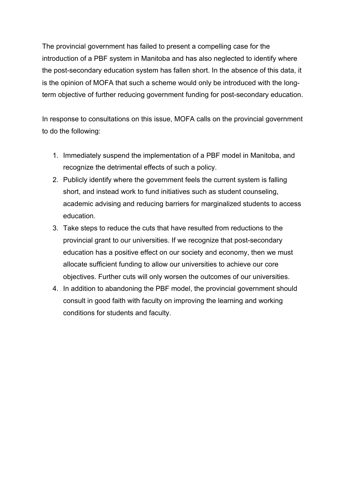The provincial government has failed to present a compelling case for the introduction of a PBF system in Manitoba and has also neglected to identify where the post-secondary education system has fallen short. In the absence of this data, it is the opinion of MOFA that such a scheme would only be introduced with the longterm objective of further reducing government funding for post-secondary education.

In response to consultations on this issue, MOFA calls on the provincial government to do the following:

- 1. Immediately suspend the implementation of a PBF model in Manitoba, and recognize the detrimental effects of such a policy.
- 2. Publicly identify where the government feels the current system is falling short, and instead work to fund initiatives such as student counseling, academic advising and reducing barriers for marginalized students to access education.
- 3. Take steps to reduce the cuts that have resulted from reductions to the provincial grant to our universities. If we recognize that post-secondary education has a positive effect on our society and economy, then we must allocate sufficient funding to allow our universities to achieve our core objectives. Further cuts will only worsen the outcomes of our universities.
- 4. In addition to abandoning the PBF model, the provincial government should consult in good faith with faculty on improving the learning and working conditions for students and faculty.